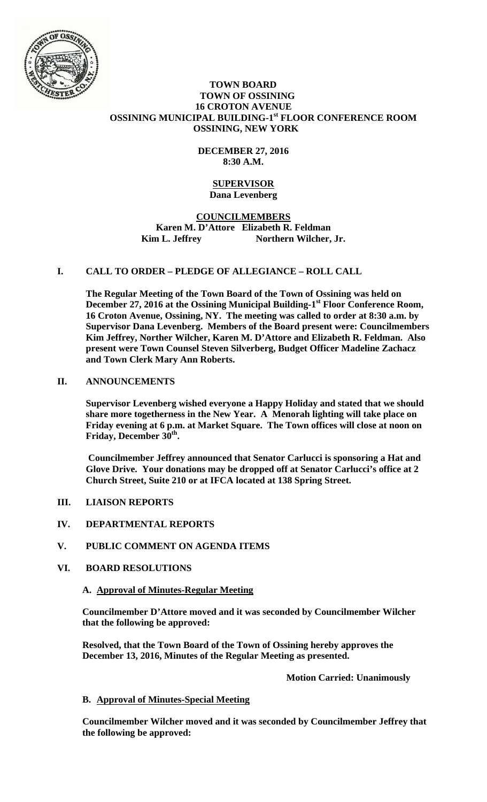

#### **TOWN BOARD TOWN OF OSSINING 16 CROTON AVENUE OSSINING MUNICIPAL BUILDING-1st FLOOR CONFERENCE ROOM OSSINING, NEW YORK**

# **DECEMBER 27, 2016 8:30 A.M.**

#### **SUPERVISOR Dana Levenberg**

# **COUNCILMEMBERS Karen M. D'Attore Elizabeth R. Feldman**  Kim L. Jeffrey Northern Wilcher, Jr.

# **I. CALL TO ORDER – PLEDGE OF ALLEGIANCE – ROLL CALL**

**The Regular Meeting of the Town Board of the Town of Ossining was held on**  December 27, 2016 at the Ossining Municipal Building-1<sup>st</sup> Floor Conference Room, **16 Croton Avenue, Ossining, NY. The meeting was called to order at 8:30 a.m. by Supervisor Dana Levenberg. Members of the Board present were: Councilmembers Kim Jeffrey, Norther Wilcher, Karen M. D'Attore and Elizabeth R. Feldman. Also present were Town Counsel Steven Silverberg, Budget Officer Madeline Zachacz and Town Clerk Mary Ann Roberts.** 

### **II. ANNOUNCEMENTS**

**Supervisor Levenberg wished everyone a Happy Holiday and stated that we should share more togetherness in the New Year. A Menorah lighting will take place on Friday evening at 6 p.m. at Market Square. The Town offices will close at noon on**  Friday, December 30<sup>th</sup>.

**Councilmember Jeffrey announced that Senator Carlucci is sponsoring a Hat and Glove Drive. Your donations may be dropped off at Senator Carlucci's office at 2 Church Street, Suite 210 or at IFCA located at 138 Spring Street.** 

### **III. LIAISON REPORTS**

- **IV. DEPARTMENTAL REPORTS**
- **V. PUBLIC COMMENT ON AGENDA ITEMS**

### **VI. BOARD RESOLUTIONS**

### **A. Approval of Minutes-Regular Meeting**

**Councilmember D'Attore moved and it was seconded by Councilmember Wilcher that the following be approved:** 

**Resolved, that the Town Board of the Town of Ossining hereby approves the December 13, 2016, Minutes of the Regular Meeting as presented.** 

 **Motion Carried: Unanimously** 

### **B. Approval of Minutes-Special Meeting**

**Councilmember Wilcher moved and it was seconded by Councilmember Jeffrey that the following be approved:**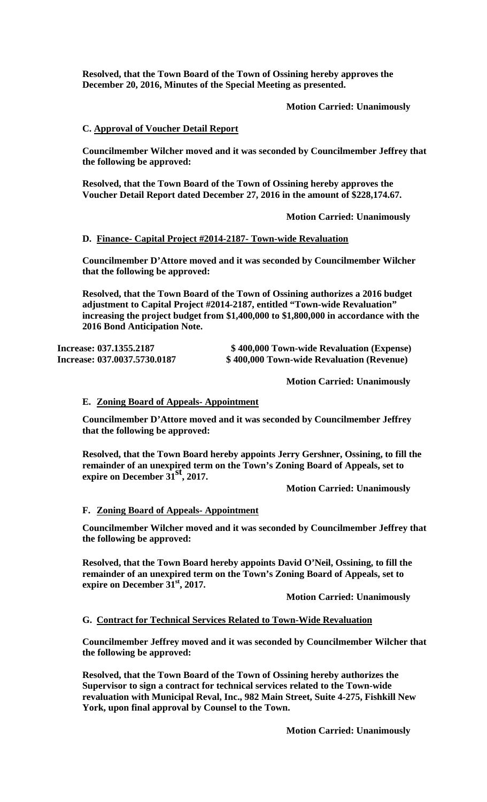**Resolved, that the Town Board of the Town of Ossining hereby approves the December 20, 2016, Minutes of the Special Meeting as presented.** 

 **Motion Carried: Unanimously** 

#### **C. Approval of Voucher Detail Report**

**Councilmember Wilcher moved and it was seconded by Councilmember Jeffrey that the following be approved:** 

**Resolved, that the Town Board of the Town of Ossining hereby approves the Voucher Detail Report dated December 27, 2016 in the amount of \$228,174.67.** 

 **Motion Carried: Unanimously**

### **D. Finance- Capital Project #2014-2187- Town-wide Revaluation**

**Councilmember D'Attore moved and it was seconded by Councilmember Wilcher that the following be approved:** 

**Resolved, that the Town Board of the Town of Ossining authorizes a 2016 budget adjustment to Capital Project #2014-2187, entitled "Town-wide Revaluation" increasing the project budget from \$1,400,000 to \$1,800,000 in accordance with the 2016 Bond Anticipation Note.** 

**Increase: 037.1355.2187 \$ 400,000 Town-wide Revaluation (Expense) Increase: 037.0037.5730.0187 \$ 400,000 Town-wide Revaluation (Revenue)** 

**Motion Carried: Unanimously** 

#### **E. Zoning Board of Appeals- Appointment**

**Councilmember D'Attore moved and it was seconded by Councilmember Jeffrey that the following be approved:** 

**Resolved, that the Town Board hereby appoints Jerry Gershner, Ossining, to fill the remainder of an unexpired term on the Town's Zoning Board of Appeals, set to expire on December 31st, 2017.** 

 **Motion Carried: Unanimously** 

#### **F. Zoning Board of Appeals- Appointment**

**Councilmember Wilcher moved and it was seconded by Councilmember Jeffrey that the following be approved:** 

**Resolved, that the Town Board hereby appoints David O'Neil, Ossining, to fill the remainder of an unexpired term on the Town's Zoning Board of Appeals, set to expire on December 31st, 2017.**

**Motion Carried: Unanimously** 

#### **G. Contract for Technical Services Related to Town-Wide Revaluation**

**Councilmember Jeffrey moved and it was seconded by Councilmember Wilcher that the following be approved:** 

**Resolved, that the Town Board of the Town of Ossining hereby authorizes the Supervisor to sign a contract for technical services related to the Town-wide revaluation with Municipal Reval, Inc., 982 Main Street, Suite 4-275, Fishkill New York, upon final approval by Counsel to the Town.** 

 **Motion Carried: Unanimously**